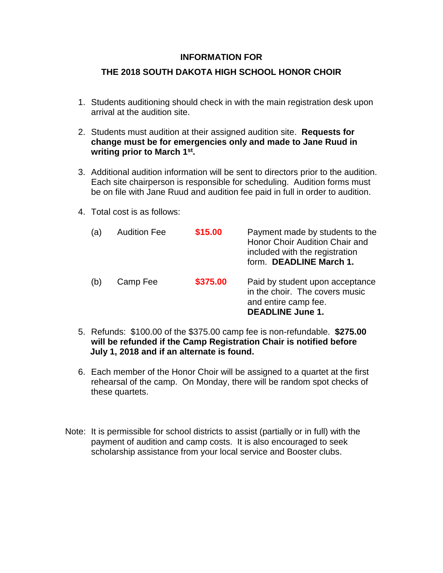## **INFORMATION FOR**

## **THE 2018 SOUTH DAKOTA HIGH SCHOOL HONOR CHOIR**

- 1. Students auditioning should check in with the main registration desk upon arrival at the audition site.
- 2. Students must audition at their assigned audition site. **Requests for change must be for emergencies only and made to Jane Ruud in writing prior to March 1st .**
- 3. Additional audition information will be sent to directors prior to the audition. Each site chairperson is responsible for scheduling. Audition forms must be on file with Jane Ruud and audition fee paid in full in order to audition.
- 4. Total cost is as follows:

| (a) | <b>Audition Fee</b> | \$15.00  | Payment made by students to the<br>Honor Choir Audition Chair and<br>included with the registration<br>form. DEADLINE March 1. |
|-----|---------------------|----------|--------------------------------------------------------------------------------------------------------------------------------|
| (b) | Camp Fee            | \$375.00 | Paid by student upon acceptance<br>in the choir. The covers music<br>and entire camp fee.<br><b>DEADLINE June 1.</b>           |

- 5. Refunds: \$100.00 of the \$375.00 camp fee is non-refundable. **\$275.00 will be refunded if the Camp Registration Chair is notified before July 1, 2018 and if an alternate is found.**
- 6. Each member of the Honor Choir will be assigned to a quartet at the first rehearsal of the camp. On Monday, there will be random spot checks of these quartets.
- Note: It is permissible for school districts to assist (partially or in full) with the payment of audition and camp costs. It is also encouraged to seek scholarship assistance from your local service and Booster clubs.